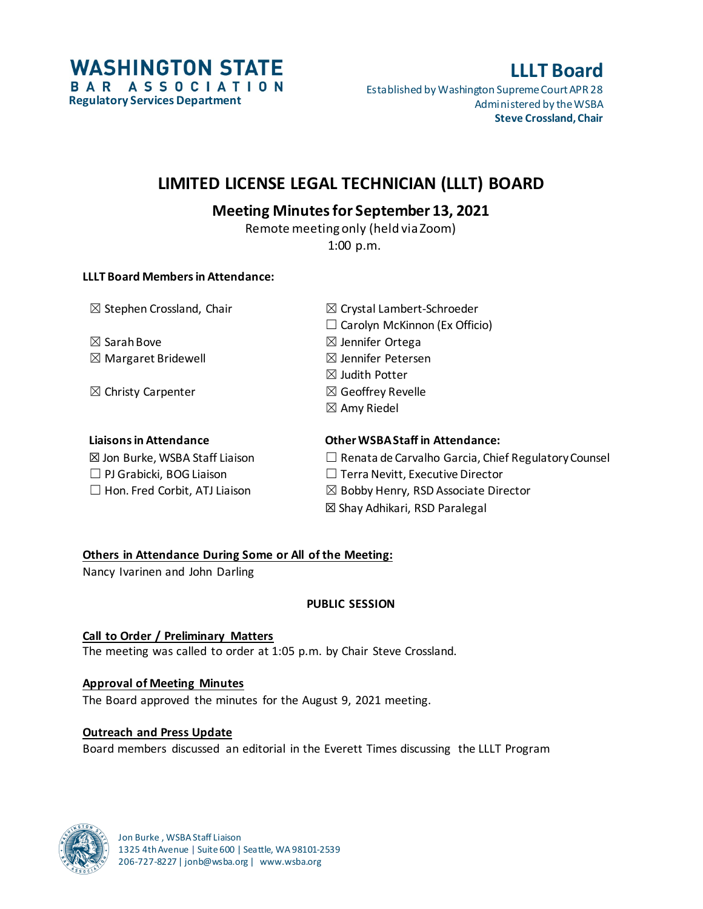

# **LLLT Board**

Established by Washington Supreme Court APR 28 Administered by the WSBA **Steve Crossland, Chair**

# **LIMITED LICENSE LEGAL TECHNICIAN (LLLT) BOARD**

# **Meeting Minutes for September 13, 2021**

Remote meeting only (held via Zoom) 1:00 p.m.

## **LLLT Board Members in Attendance:**

 $\boxtimes$  Sarah Bove  $\boxtimes$  Jennifer Ortega  $\boxtimes$  Margaret Bridewell  $\boxtimes$  Jennifer Petersen

 $\boxtimes$  Christy Carpenter  $\boxtimes$  Geoffrey Revelle

☐ PJ Grabicki, BOG Liaison ☐ Terra Nevitt, Executive Director

 $\boxtimes$  Stephen Crossland, Chair  $\boxtimes$  Crystal Lambert-Schroeder  $\Box$  Carolyn McKinnon (Ex Officio)  $\boxtimes$  Judith Potter  $\boxtimes$  Amy Riedel

# **Liaisons in Attendance Other WSBA Staff in Attendance:**

- $\boxtimes$  Jon Burke, WSBA Staff Liaison  $\Box$  Renata de Carvalho Garcia, Chief Regulatory Counsel
- $\Box$  Hon. Fred Corbit, ATJ Liaison  $\boxtimes$  Bobby Henry, RSD Associate Director
	- ☒ Shay Adhikari, RSD Paralegal

# **Others in Attendance During Some or All of the Meeting:**

Nancy Ivarinen and John Darling

# **PUBLIC SESSION**

**Call to Order / Preliminary Matters** The meeting was called to order at 1:05 p.m. by Chair Steve Crossland.

# **Approval of Meeting Minutes**

The Board approved the minutes for the August 9, 2021 meeting.

# **Outreach and Press Update**

Board members discussed an editorial in the Everett Times discussing the LLLT Program